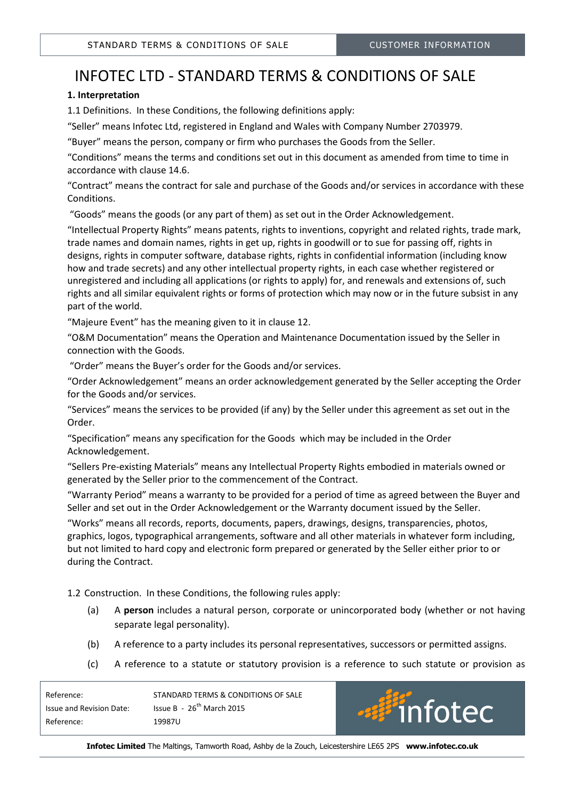# INFOTEC LTD - STANDARD TERMS & CONDITIONS OF SALE

# 1. Interpretation

1.1 Definitions. In these Conditions, the following definitions apply:

"Seller" means Infotec Ltd, registered in England and Wales with Company Number 2703979.

"Buyer" means the person, company or firm who purchases the Goods from the Seller.

"Conditions" means the terms and conditions set out in this document as amended from time to time in accordance with clause 14.6.

"Contract" means the contract for sale and purchase of the Goods and/or services in accordance with these Conditions.

"Goods" means the goods (or any part of them) as set out in the Order Acknowledgement.

"Intellectual Property Rights" means patents, rights to inventions, copyright and related rights, trade mark, trade names and domain names, rights in get up, rights in goodwill or to sue for passing off, rights in designs, rights in computer software, database rights, rights in confidential information (including know how and trade secrets) and any other intellectual property rights, in each case whether registered or unregistered and including all applications (or rights to apply) for, and renewals and extensions of, such rights and all similar equivalent rights or forms of protection which may now or in the future subsist in any part of the world.

"Majeure Event" has the meaning given to it in clause 12.

"O&M Documentation" means the Operation and Maintenance Documentation issued by the Seller in connection with the Goods.

"Order" means the Buyer's order for the Goods and/or services.

"Order Acknowledgement" means an order acknowledgement generated by the Seller accepting the Order for the Goods and/or services.

"Services" means the services to be provided (if any) by the Seller under this agreement as set out in the Order.

"Specification" means any specification for the Goods which may be included in the Order Acknowledgement.

"Sellers Pre-existing Materials" means any Intellectual Property Rights embodied in materials owned or generated by the Seller prior to the commencement of the Contract.

"Warranty Period" means a warranty to be provided for a period of time as agreed between the Buyer and Seller and set out in the Order Acknowledgement or the Warranty document issued by the Seller.

"Works" means all records, reports, documents, papers, drawings, designs, transparencies, photos, graphics, logos, typographical arrangements, software and all other materials in whatever form including, but not limited to hard copy and electronic form prepared or generated by the Seller either prior to or during the Contract.

- 1.2 Construction. In these Conditions, the following rules apply:
	- (a) A person includes a natural person, corporate or unincorporated body (whether or not having separate legal personality).
	- (b) A reference to a party includes its personal representatives, successors or permitted assigns.
	- (c) A reference to a statute or statutory provision is a reference to such statute or provision as

| Reference:               | STANDARD TERMS & CONDITIONS OF SALE |                    |
|--------------------------|-------------------------------------|--------------------|
| Issue and Revision Date: | Issue B - $26^{th}$ March 2015      | <b>But infoted</b> |
| Reference:               | 19987U                              |                    |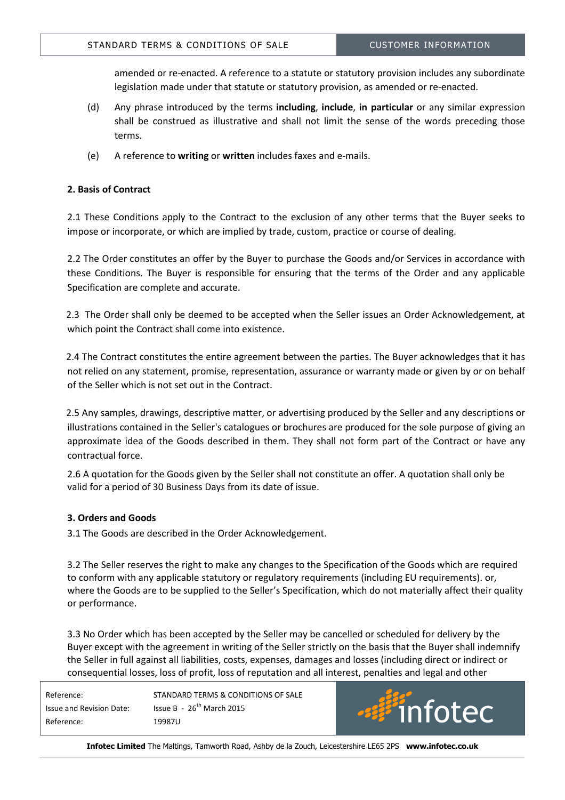amended or re-enacted. A reference to a statute or statutory provision includes any subordinate legislation made under that statute or statutory provision, as amended or re-enacted.

- (d) Any phrase introduced by the terms including, include, in particular or any similar expression shall be construed as illustrative and shall not limit the sense of the words preceding those terms.
- (e) A reference to writing or written includes faxes and e-mails.

## 2. Basis of Contract

2.1 These Conditions apply to the Contract to the exclusion of any other terms that the Buyer seeks to impose or incorporate, or which are implied by trade, custom, practice or course of dealing.

2.2 The Order constitutes an offer by the Buyer to purchase the Goods and/or Services in accordance with these Conditions. The Buyer is responsible for ensuring that the terms of the Order and any applicable Specification are complete and accurate.

 2.3 The Order shall only be deemed to be accepted when the Seller issues an Order Acknowledgement, at which point the Contract shall come into existence.

 2.4 The Contract constitutes the entire agreement between the parties. The Buyer acknowledges that it has not relied on any statement, promise, representation, assurance or warranty made or given by or on behalf of the Seller which is not set out in the Contract.

 2.5 Any samples, drawings, descriptive matter, or advertising produced by the Seller and any descriptions or illustrations contained in the Seller's catalogues or brochures are produced for the sole purpose of giving an approximate idea of the Goods described in them. They shall not form part of the Contract or have any contractual force.

2.6 A quotation for the Goods given by the Seller shall not constitute an offer. A quotation shall only be valid for a period of 30 Business Days from its date of issue.

# 3. Orders and Goods

3.1 The Goods are described in the Order Acknowledgement.

3.2 The Seller reserves the right to make any changes to the Specification of the Goods which are required to conform with any applicable statutory or regulatory requirements (including EU requirements). or, where the Goods are to be supplied to the Seller's Specification, which do not materially affect their quality or performance.

3.3 No Order which has been accepted by the Seller may be cancelled or scheduled for delivery by the Buyer except with the agreement in writing of the Seller strictly on the basis that the Buyer shall indemnify the Seller in full against all liabilities, costs, expenses, damages and losses (including direct or indirect or consequential losses, loss of profit, loss of reputation and all interest, penalties and legal and other

| Reference:               | STANDARD TERMS & CONDITIONS OF SALE |
|--------------------------|-------------------------------------|
| Issue and Revision Date: | Issue B - $26^{th}$ March 2015      |
| Reference:               | 19987U                              |

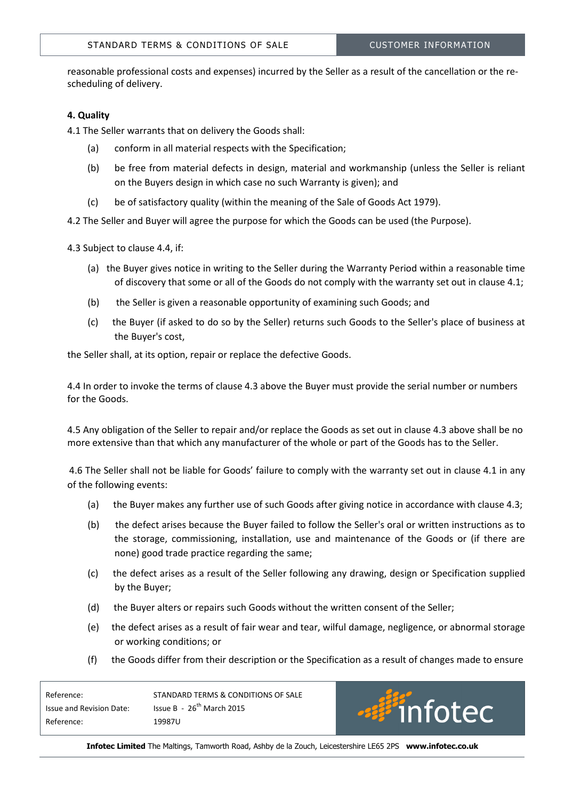reasonable professional costs and expenses) incurred by the Seller as a result of the cancellation or the rescheduling of delivery.

## 4. Quality

4.1 The Seller warrants that on delivery the Goods shall:

- (a) conform in all material respects with the Specification;
- (b) be free from material defects in design, material and workmanship (unless the Seller is reliant on the Buyers design in which case no such Warranty is given); and
- (c) be of satisfactory quality (within the meaning of the Sale of Goods Act 1979).

4.2 The Seller and Buyer will agree the purpose for which the Goods can be used (the Purpose).

4.3 Subject to clause 4.4, if:

- (a) the Buyer gives notice in writing to the Seller during the Warranty Period within a reasonable time of discovery that some or all of the Goods do not comply with the warranty set out in clause 4.1;
- (b) the Seller is given a reasonable opportunity of examining such Goods; and
- (c) the Buyer (if asked to do so by the Seller) returns such Goods to the Seller's place of business at the Buyer's cost,

the Seller shall, at its option, repair or replace the defective Goods.

4.4 In order to invoke the terms of clause 4.3 above the Buyer must provide the serial number or numbers for the Goods.

4.5 Any obligation of the Seller to repair and/or replace the Goods as set out in clause 4.3 above shall be no more extensive than that which any manufacturer of the whole or part of the Goods has to the Seller.

 4.6 The Seller shall not be liable for Goods' failure to comply with the warranty set out in clause 4.1 in any of the following events:

- (a) the Buyer makes any further use of such Goods after giving notice in accordance with clause 4.3;
- (b) the defect arises because the Buyer failed to follow the Seller's oral or written instructions as to the storage, commissioning, installation, use and maintenance of the Goods or (if there are none) good trade practice regarding the same;
- (c) the defect arises as a result of the Seller following any drawing, design or Specification supplied by the Buyer;
- (d) the Buyer alters or repairs such Goods without the written consent of the Seller;
- (e) the defect arises as a result of fair wear and tear, wilful damage, negligence, or abnormal storage or working conditions; or
- (f) the Goods differ from their description or the Specification as a result of changes made to ensure

| Reference:               | STANDARD TERMS & CONDITIONS OF SALE |
|--------------------------|-------------------------------------|
| Issue and Revision Date: | Issue B - $26^{th}$ March 2015      |
| Reference:               | 19987U                              |

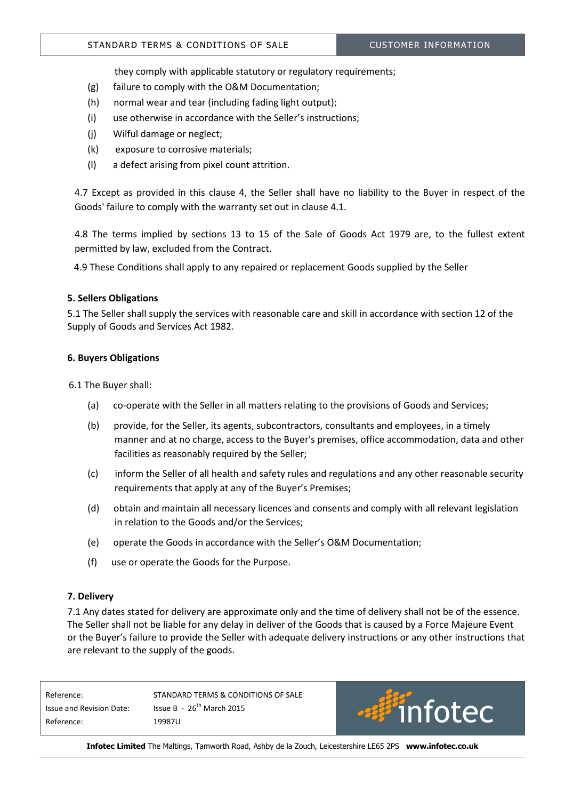they comply with applicable statutory or regulatory requirements;

- (g) failure to comply with the O&M Documentation;
- (h) normal wear and tear (including fading light output);
- (i) use otherwise in accordance with the Seller's instructions;
- (j) Wilful damage or neglect;
- (k) exposure to corrosive materials;
- (l) a defect arising from pixel count attrition.

4.7 Except as provided in this clause 4, the Seller shall have no liability to the Buyer in respect of the Goods' failure to comply with the warranty set out in clause 4.1.

4.8 The terms implied by sections 13 to 15 of the Sale of Goods Act 1979 are, to the fullest extent permitted by law, excluded from the Contract.

4.9 These Conditions shall apply to any repaired or replacement Goods supplied by the Seller

## 5. Sellers Obligations

5.1 The Seller shall supply the services with reasonable care and skill in accordance with section 12 of the Supply of Goods and Services Act 1982.

## 6. Buyers Obligations

6.1 The Buyer shall:

- (a) co-operate with the Seller in all matters relating to the provisions of Goods and Services;
- (b) provide, for the Seller, its agents, subcontractors, consultants and employees, in a timely manner and at no charge, access to the Buyer's premises, office accommodation, data and other facilities as reasonably required by the Seller;
- (c) inform the Seller of all health and safety rules and regulations and any other reasonable security requirements that apply at any of the Buyer's Premises;
- (d) obtain and maintain all necessary licences and consents and comply with all relevant legislation in relation to the Goods and/or the Services;
- (e) operate the Goods in accordance with the Seller's O&M Documentation;
- (f) use or operate the Goods for the Purpose.

## 7. Delivery

7.1 Any dates stated for delivery are approximate only and the time of delivery shall not be of the essence. The Seller shall not be liable for any delay in deliver of the Goods that is caused by a Force Majeure Event or the Buyer's failure to provide the Seller with adequate delivery instructions or any other instructions that are relevant to the supply of the goods.

Reference: STANDARD TERMS & CONDITIONS OF SALE Issue and Revision Date: Issue B - 26<sup>th</sup> March 2015 Reference: 19987U

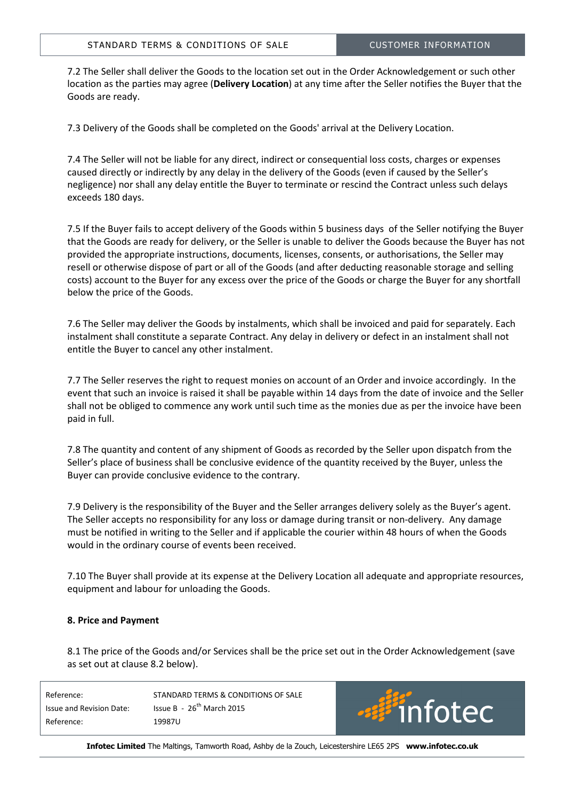7.2 The Seller shall deliver the Goods to the location set out in the Order Acknowledgement or such other location as the parties may agree (Delivery Location) at any time after the Seller notifies the Buyer that the Goods are ready.

7.3 Delivery of the Goods shall be completed on the Goods' arrival at the Delivery Location.

7.4 The Seller will not be liable for any direct, indirect or consequential loss costs, charges or expenses caused directly or indirectly by any delay in the delivery of the Goods (even if caused by the Seller's negligence) nor shall any delay entitle the Buyer to terminate or rescind the Contract unless such delays exceeds 180 days.

7.5 If the Buyer fails to accept delivery of the Goods within 5 business days of the Seller notifying the Buyer that the Goods are ready for delivery, or the Seller is unable to deliver the Goods because the Buyer has not provided the appropriate instructions, documents, licenses, consents, or authorisations, the Seller may resell or otherwise dispose of part or all of the Goods (and after deducting reasonable storage and selling costs) account to the Buyer for any excess over the price of the Goods or charge the Buyer for any shortfall below the price of the Goods.

7.6 The Seller may deliver the Goods by instalments, which shall be invoiced and paid for separately. Each instalment shall constitute a separate Contract. Any delay in delivery or defect in an instalment shall not entitle the Buyer to cancel any other instalment.

7.7 The Seller reserves the right to request monies on account of an Order and invoice accordingly. In the event that such an invoice is raised it shall be payable within 14 days from the date of invoice and the Seller shall not be obliged to commence any work until such time as the monies due as per the invoice have been paid in full.

7.8 The quantity and content of any shipment of Goods as recorded by the Seller upon dispatch from the Seller's place of business shall be conclusive evidence of the quantity received by the Buyer, unless the Buyer can provide conclusive evidence to the contrary.

7.9 Delivery is the responsibility of the Buyer and the Seller arranges delivery solely as the Buyer's agent. The Seller accepts no responsibility for any loss or damage during transit or non-delivery. Any damage must be notified in writing to the Seller and if applicable the courier within 48 hours of when the Goods would in the ordinary course of events been received.

7.10 The Buyer shall provide at its expense at the Delivery Location all adequate and appropriate resources, equipment and labour for unloading the Goods.

# 8. Price and Payment

8.1 The price of the Goods and/or Services shall be the price set out in the Order Acknowledgement (save as set out at clause 8.2 below).

| Reference:               | STANDARD TERMS & CONDITIONS OF SALE |
|--------------------------|-------------------------------------|
| Issue and Revision Date: | Issue B - $26^{th}$ March 2015      |
| Reference:               | 19987U                              |

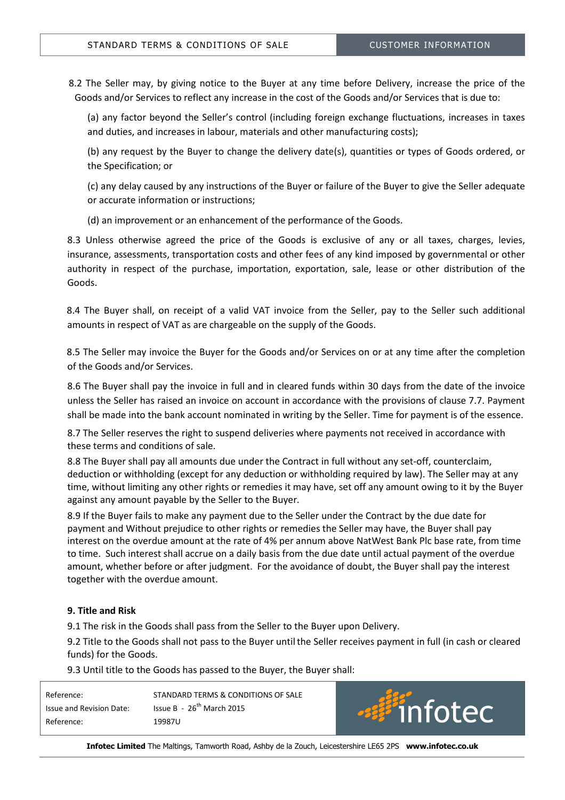8.2 The Seller may, by giving notice to the Buyer at any time before Delivery, increase the price of the Goods and/or Services to reflect any increase in the cost of the Goods and/or Services that is due to:

(a) any factor beyond the Seller's control (including foreign exchange fluctuations, increases in taxes and duties, and increases in labour, materials and other manufacturing costs);

(b) any request by the Buyer to change the delivery date(s), quantities or types of Goods ordered, or the Specification; or

(c) any delay caused by any instructions of the Buyer or failure of the Buyer to give the Seller adequate or accurate information or instructions;

(d) an improvement or an enhancement of the performance of the Goods.

8.3 Unless otherwise agreed the price of the Goods is exclusive of any or all taxes, charges, levies, insurance, assessments, transportation costs and other fees of any kind imposed by governmental or other authority in respect of the purchase, importation, exportation, sale, lease or other distribution of the Goods.

8.4 The Buyer shall, on receipt of a valid VAT invoice from the Seller, pay to the Seller such additional amounts in respect of VAT as are chargeable on the supply of the Goods.

8.5 The Seller may invoice the Buyer for the Goods and/or Services on or at any time after the completion of the Goods and/or Services.

8.6 The Buyer shall pay the invoice in full and in cleared funds within 30 days from the date of the invoice unless the Seller has raised an invoice on account in accordance with the provisions of clause 7.7. Payment shall be made into the bank account nominated in writing by the Seller. Time for payment is of the essence.

8.7 The Seller reserves the right to suspend deliveries where payments not received in accordance with these terms and conditions of sale.

8.8 The Buyer shall pay all amounts due under the Contract in full without any set-off, counterclaim, deduction or withholding (except for any deduction or withholding required by law). The Seller may at any time, without limiting any other rights or remedies it may have, set off any amount owing to it by the Buyer against any amount payable by the Seller to the Buyer.

8.9 If the Buyer fails to make any payment due to the Seller under the Contract by the due date for payment and Without prejudice to other rights or remedies the Seller may have, the Buyer shall pay interest on the overdue amount at the rate of 4% per annum above NatWest Bank Plc base rate, from time to time. Such interest shall accrue on a daily basis from the due date until actual payment of the overdue amount, whether before or after judgment. For the avoidance of doubt, the Buyer shall pay the interest together with the overdue amount.

# 9. Title and Risk

9.1 The risk in the Goods shall pass from the Seller to the Buyer upon Delivery.

9.2 Title to the Goods shall not pass to the Buyer untilthe Seller receives payment in full (in cash or cleared funds) for the Goods.

9.3 Until title to the Goods has passed to the Buyer, the Buyer shall:

| Reference:               | STANDARD TERMS & CONDITIONS OF SALE |
|--------------------------|-------------------------------------|
| Issue and Revision Date: | Issue B - $26^{th}$ March 2015      |
| Reference:               | 19987U                              |

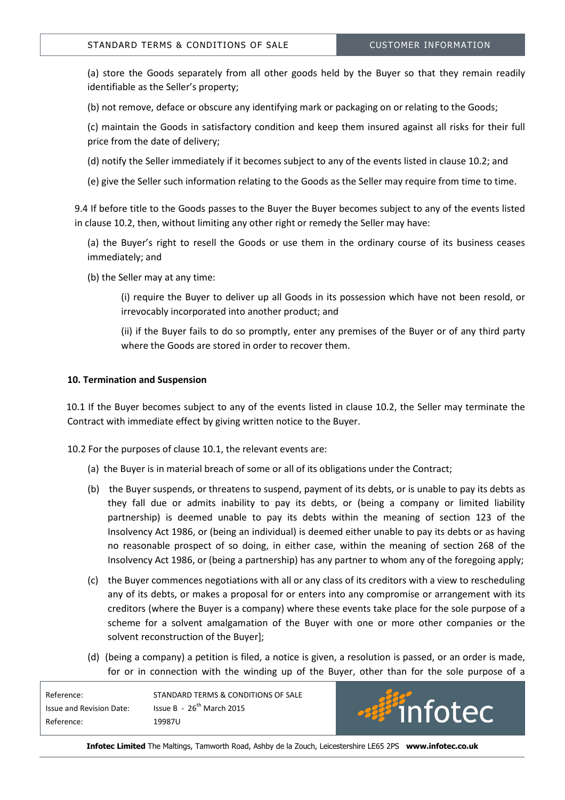(a) store the Goods separately from all other goods held by the Buyer so that they remain readily identifiable as the Seller's property;

(b) not remove, deface or obscure any identifying mark or packaging on or relating to the Goods;

(c) maintain the Goods in satisfactory condition and keep them insured against all risks for their full price from the date of delivery;

(d) notify the Seller immediately if it becomes subject to any of the events listed in clause 10.2; and

(e) give the Seller such information relating to the Goods as the Seller may require from time to time.

9.4 If before title to the Goods passes to the Buyer the Buyer becomes subject to any of the events listed in clause 10.2, then, without limiting any other right or remedy the Seller may have:

(a) the Buyer's right to resell the Goods or use them in the ordinary course of its business ceases immediately; and

(b) the Seller may at any time:

(i) require the Buyer to deliver up all Goods in its possession which have not been resold, or irrevocably incorporated into another product; and

(ii) if the Buyer fails to do so promptly, enter any premises of the Buyer or of any third party where the Goods are stored in order to recover them.

## 10. Termination and Suspension

 10.1 If the Buyer becomes subject to any of the events listed in clause 10.2, the Seller may terminate the Contract with immediate effect by giving written notice to the Buyer.

10.2 For the purposes of clause 10.1, the relevant events are:

- (a) the Buyer is in material breach of some or all of its obligations under the Contract;
- (b) the Buyer suspends, or threatens to suspend, payment of its debts, or is unable to pay its debts as they fall due or admits inability to pay its debts, or (being a company or limited liability partnership) is deemed unable to pay its debts within the meaning of section 123 of the Insolvency Act 1986, or (being an individual) is deemed either unable to pay its debts or as having no reasonable prospect of so doing, in either case, within the meaning of section 268 of the Insolvency Act 1986, or (being a partnership) has any partner to whom any of the foregoing apply;
- (c) the Buyer commences negotiations with all or any class of its creditors with a view to rescheduling any of its debts, or makes a proposal for or enters into any compromise or arrangement with its creditors (where the Buyer is a company) where these events take place for the sole purpose of a scheme for a solvent amalgamation of the Buyer with one or more other companies or the solvent reconstruction of the Buyer];
- (d) (being a company) a petition is filed, a notice is given, a resolution is passed, or an order is made, for or in connection with the winding up of the Buyer, other than for the sole purpose of a

| Reference:               | STANDARD TERMS & CONDITIONS OF SALE |
|--------------------------|-------------------------------------|
| Issue and Revision Date: | Issue B - $26^{th}$ March 2015      |
| Reference:               | 19987U                              |

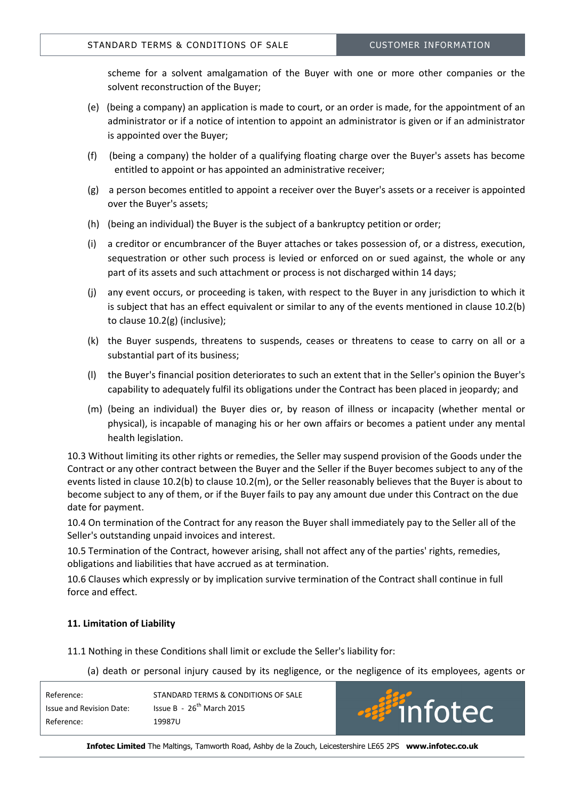scheme for a solvent amalgamation of the Buyer with one or more other companies or the solvent reconstruction of the Buyer;

- (e) (being a company) an application is made to court, or an order is made, for the appointment of an administrator or if a notice of intention to appoint an administrator is given or if an administrator is appointed over the Buyer;
- (f) (being a company) the holder of a qualifying floating charge over the Buyer's assets has become entitled to appoint or has appointed an administrative receiver;
- (g) a person becomes entitled to appoint a receiver over the Buyer's assets or a receiver is appointed over the Buyer's assets;
- (h) (being an individual) the Buyer is the subject of a bankruptcy petition or order;
- (i) a creditor or encumbrancer of the Buyer attaches or takes possession of, or a distress, execution, sequestration or other such process is levied or enforced on or sued against, the whole or any part of its assets and such attachment or process is not discharged within 14 days;
- (j) any event occurs, or proceeding is taken, with respect to the Buyer in any jurisdiction to which it is subject that has an effect equivalent or similar to any of the events mentioned in clause 10.2(b) to clause 10.2(g) (inclusive);
- (k) the Buyer suspends, threatens to suspends, ceases or threatens to cease to carry on all or a substantial part of its business;
- (l) the Buyer's financial position deteriorates to such an extent that in the Seller's opinion the Buyer's capability to adequately fulfil its obligations under the Contract has been placed in jeopardy; and
- (m) (being an individual) the Buyer dies or, by reason of illness or incapacity (whether mental or physical), is incapable of managing his or her own affairs or becomes a patient under any mental health legislation.

10.3 Without limiting its other rights or remedies, the Seller may suspend provision of the Goods under the Contract or any other contract between the Buyer and the Seller if the Buyer becomes subject to any of the events listed in clause 10.2(b) to clause 10.2(m), or the Seller reasonably believes that the Buyer is about to become subject to any of them, or if the Buyer fails to pay any amount due under this Contract on the due date for payment.

10.4 On termination of the Contract for any reason the Buyer shall immediately pay to the Seller all of the Seller's outstanding unpaid invoices and interest.

10.5 Termination of the Contract, however arising, shall not affect any of the parties' rights, remedies, obligations and liabilities that have accrued as at termination.

10.6 Clauses which expressly or by implication survive termination of the Contract shall continue in full force and effect.

## 11. Limitation of Liability

11.1 Nothing in these Conditions shall limit or exclude the Seller's liability for:

(a) death or personal injury caused by its negligence, or the negligence of its employees, agents or

ec

| Reference:               | STANDARD TERMS & CONDITIONS OF SALE |                         |
|--------------------------|-------------------------------------|-------------------------|
| Issue and Revision Date: | Issue B - $26^{th}$ March 2015      | <i><b>Billinfot</b></i> |
| Reference:               | 19987U                              |                         |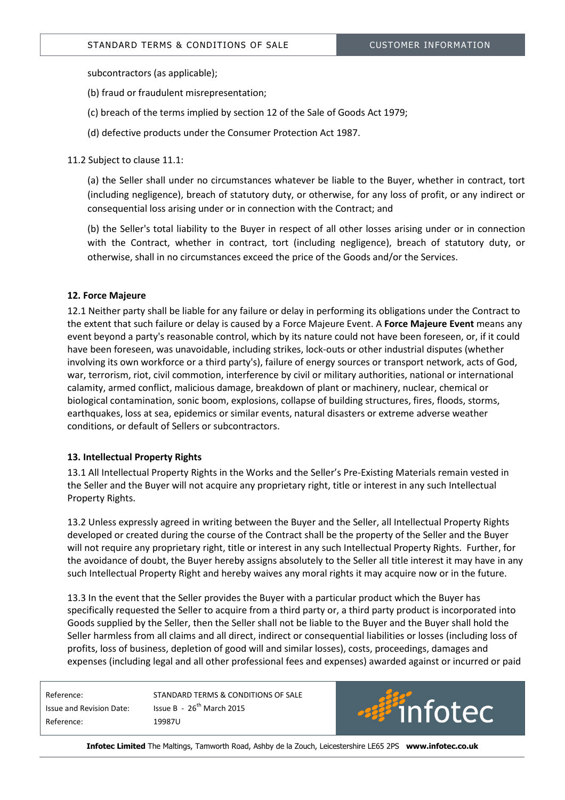subcontractors (as applicable);

- (b) fraud or fraudulent misrepresentation;
- (c) breach of the terms implied by section 12 of the Sale of Goods Act 1979;
- (d) defective products under the Consumer Protection Act 1987.

11.2 Subject to clause 11.1:

(a) the Seller shall under no circumstances whatever be liable to the Buyer, whether in contract, tort (including negligence), breach of statutory duty, or otherwise, for any loss of profit, or any indirect or consequential loss arising under or in connection with the Contract; and

(b) the Seller's total liability to the Buyer in respect of all other losses arising under or in connection with the Contract, whether in contract, tort (including negligence), breach of statutory duty, or otherwise, shall in no circumstances exceed the price of the Goods and/or the Services.

## 12. Force Majeure

12.1 Neither party shall be liable for any failure or delay in performing its obligations under the Contract to the extent that such failure or delay is caused by a Force Majeure Event. A Force Majeure Event means any event beyond a party's reasonable control, which by its nature could not have been foreseen, or, if it could have been foreseen, was unavoidable, including strikes, lock-outs or other industrial disputes (whether involving its own workforce or a third party's), failure of energy sources or transport network, acts of God, war, terrorism, riot, civil commotion, interference by civil or military authorities, national or international calamity, armed conflict, malicious damage, breakdown of plant or machinery, nuclear, chemical or biological contamination, sonic boom, explosions, collapse of building structures, fires, floods, storms, earthquakes, loss at sea, epidemics or similar events, natural disasters or extreme adverse weather conditions, or default of Sellers or subcontractors.

## 13. Intellectual Property Rights

13.1 All Intellectual Property Rights in the Works and the Seller's Pre-Existing Materials remain vested in the Seller and the Buyer will not acquire any proprietary right, title or interest in any such Intellectual Property Rights.

13.2 Unless expressly agreed in writing between the Buyer and the Seller, all Intellectual Property Rights developed or created during the course of the Contract shall be the property of the Seller and the Buyer will not require any proprietary right, title or interest in any such Intellectual Property Rights. Further, for the avoidance of doubt, the Buyer hereby assigns absolutely to the Seller all title interest it may have in any such Intellectual Property Right and hereby waives any moral rights it may acquire now or in the future.

13.3 In the event that the Seller provides the Buyer with a particular product which the Buyer has specifically requested the Seller to acquire from a third party or, a third party product is incorporated into Goods supplied by the Seller, then the Seller shall not be liable to the Buyer and the Buyer shall hold the Seller harmless from all claims and all direct, indirect or consequential liabilities or losses (including loss of profits, loss of business, depletion of good will and similar losses), costs, proceedings, damages and expenses (including legal and all other professional fees and expenses) awarded against or incurred or paid

Reference: 19987U

Reference: STANDARD TERMS & CONDITIONS OF SALE Issue and Revision Date: Issue B - 26<sup>th</sup> March 2015